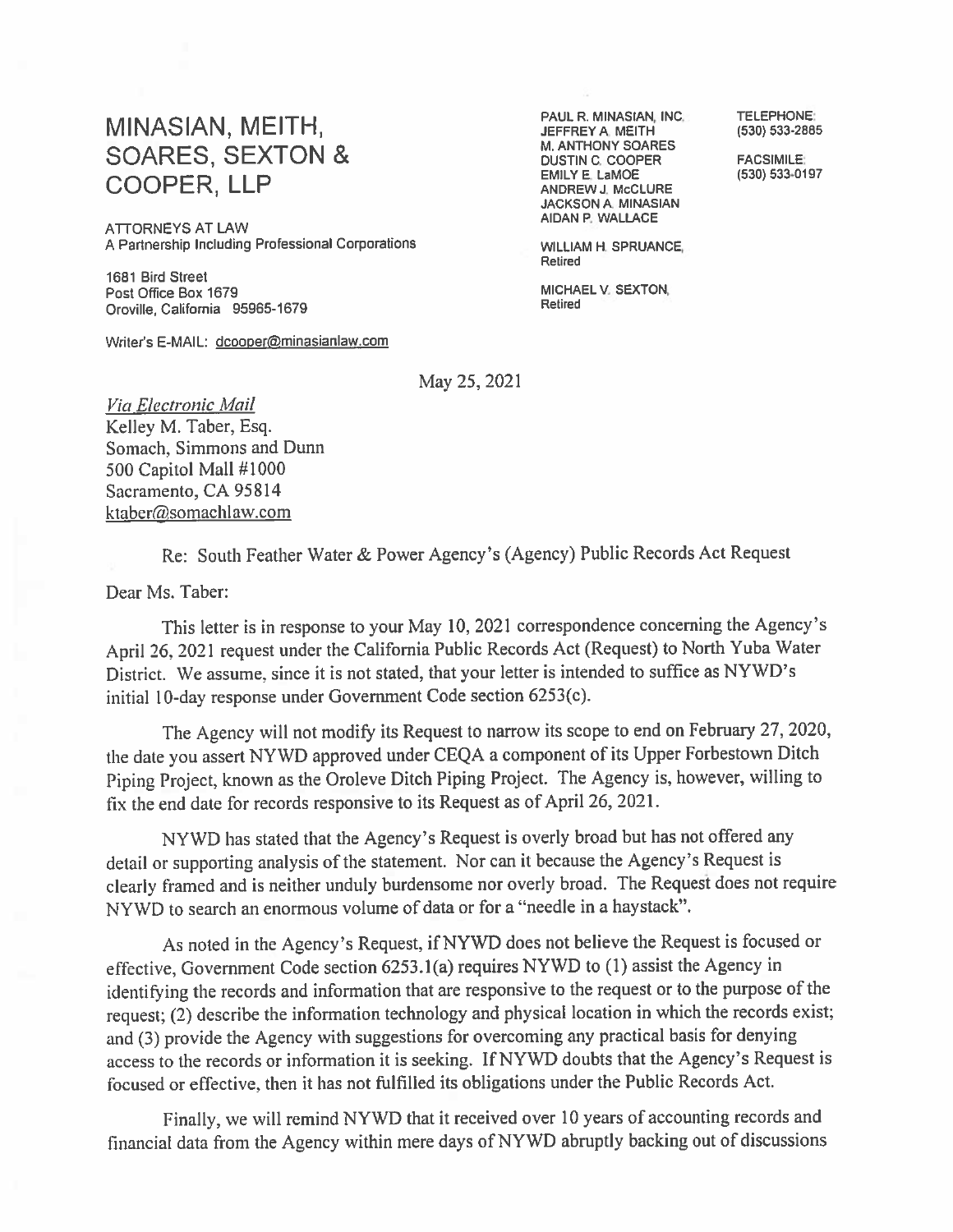## MINASIAN, MEITH, **SOARES, SEXTON & COOPER, LLP**

**ATTORNEYS AT LAW** A Partnership Including Professional Corporations

1681 Bird Street Post Office Box 1679 Oroville, California 95965-1679

Writer's E-MAIL: dcooper@minasianlaw.com

PAUL R. MINASIAN, INC. JEFFREY A. MEITH M. ANTHONY SOARES **DUSTIN C. COOPER EMILY E. LaMOE** ANDREW J. McCLURE JACKSON A. MINASIAN AIDAN P. WALLACE

**WILLIAM H. SPRUANCE,** Retired

MICHAEL V. SEXTON, Retired

**TELEPHONE:** (530) 533-2885

**FACSIMILE:** (530) 533-0197

May 25, 2021

Via Electronic Mail Kelley M. Taber, Esq. Somach, Simmons and Dunn 500 Capitol Mall #1000 Sacramento, CA 95814 ktaber@somachlaw.com

Re: South Feather Water & Power Agency's (Agency) Public Records Act Request

Dear Ms. Taber:

This letter is in response to your May 10, 2021 correspondence concerning the Agency's April 26, 2021 request under the California Public Records Act (Request) to North Yuba Water District. We assume, since it is not stated, that your letter is intended to suffice as NYWD's initial 10-day response under Government Code section 6253(c).

The Agency will not modify its Request to narrow its scope to end on February 27, 2020, the date you assert NYWD approved under CEQA a component of its Upper Forbestown Ditch Pining Project, known as the Oroleve Ditch Piping Project. The Agency is, however, willing to fix the end date for records responsive to its Request as of April 26, 2021.

NYWD has stated that the Agency's Request is overly broad but has not offered any detail or supporting analysis of the statement. Nor can it because the Agency's Request is clearly framed and is neither unduly burdensome nor overly broad. The Request does not require NYWD to search an enormous volume of data or for a "needle in a haystack".

As noted in the Agency's Request, if NYWD does not believe the Request is focused or effective, Government Code section 6253.1(a) requires NYWD to (1) assist the Agency in identifying the records and information that are responsive to the request or to the purpose of the request; (2) describe the information technology and physical location in which the records exist; and (3) provide the Agency with suggestions for overcoming any practical basis for denying access to the records or information it is seeking. If NYWD doubts that the Agency's Request is focused or effective, then it has not fulfilled its obligations under the Public Records Act.

Finally, we will remind NYWD that it received over 10 years of accounting records and financial data from the Agency within mere days of NYWD abruptly backing out of discussions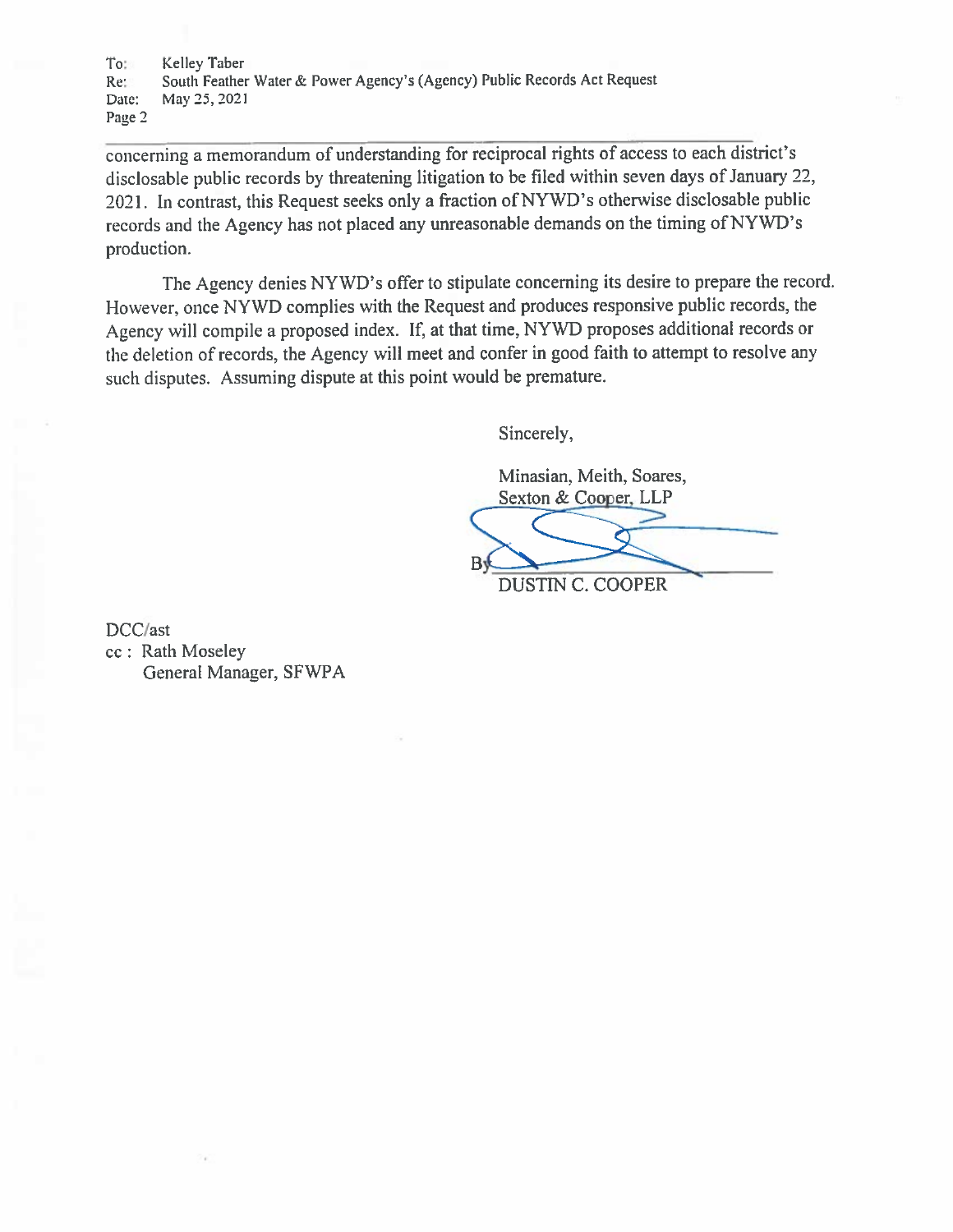To: Kellev Taber South Feather Water & Power Agency's (Agency) Public Records Act Request Re: Date: May 25, 2021 Page 2

concerning a memorandum of understanding for reciprocal rights of access to each district's disclosable public records by threatening litigation to be filed within seven days of January 22, 2021. In contrast, this Request seeks only a fraction of NYWD's otherwise disclosable public records and the Agency has not placed any unreasonable demands on the timing of NYWD's production.

The Agency denies NYWD's offer to stipulate concerning its desire to prepare the record. However, once NYWD complies with the Request and produces responsive public records, the Agency will compile a proposed index. If, at that time, NYWD proposes additional records or the deletion of records, the Agency will meet and confer in good faith to attempt to resolve any such disputes. Assuming dispute at this point would be premature.

Sincerely,

Minasian, Meith, Soares, Sexton & Cooper, LLP **DUSTIN C. COOPER** 

DCC/ast cc: Rath Moseley General Manager, SFWPA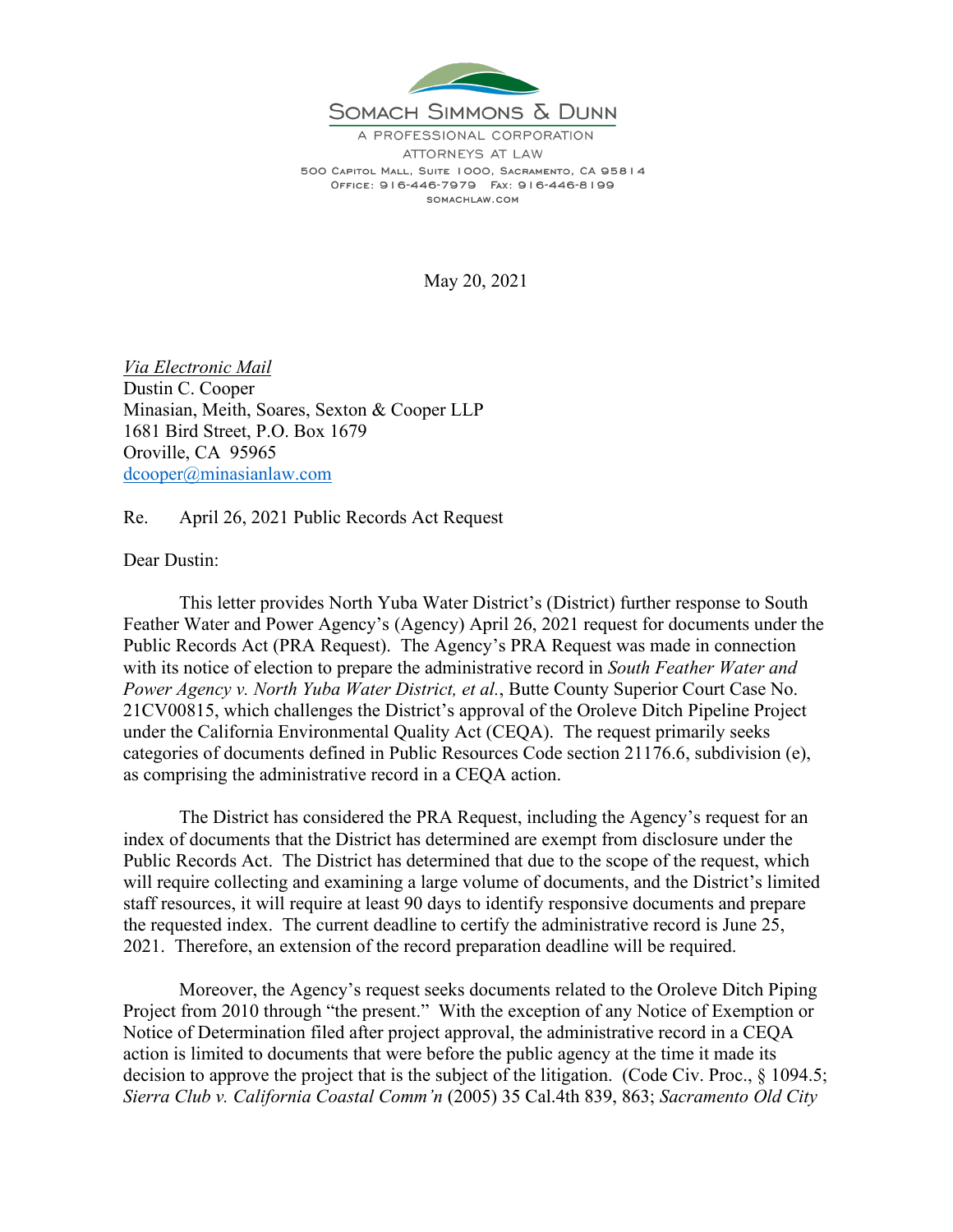

A PROFESSIONAL CORPORATION ATTORNEYS AT LAW 500 CAPITOL MALL, SUITE 1000, SACRAMENTO, CA 95814 OFFICE: 916-446-7979 FAX: 916-446-8199 SOMACHLAW.COM

May 20, 2021

*Via Electronic Mail* Dustin C. Cooper Minasian, Meith, Soares, Sexton & Cooper LLP 1681 Bird Street, P.O. Box 1679 Oroville, CA 95965 [dcooper@minasianlaw.com](mailto:dcooper@minasianlaw.com)

Re. April 26, 2021 Public Records Act Request

Dear Dustin:

This letter provides North Yuba Water District's (District) further response to South Feather Water and Power Agency's (Agency) April 26, 2021 request for documents under the Public Records Act (PRA Request). The Agency's PRA Request was made in connection with its notice of election to prepare the administrative record in *South Feather Water and Power Agency v. North Yuba Water District, et al.*, Butte County Superior Court Case No. 21CV00815, which challenges the District's approval of the Oroleve Ditch Pipeline Project under the California Environmental Quality Act (CEQA). The request primarily seeks categories of documents defined in Public Resources Code section 21176.6, subdivision (e), as comprising the administrative record in a CEQA action.

The District has considered the PRA Request, including the Agency's request for an index of documents that the District has determined are exempt from disclosure under the Public Records Act. The District has determined that due to the scope of the request, which will require collecting and examining a large volume of documents, and the District's limited staff resources, it will require at least 90 days to identify responsive documents and prepare the requested index. The current deadline to certify the administrative record is June 25, 2021. Therefore, an extension of the record preparation deadline will be required.

Moreover, the Agency's request seeks documents related to the Oroleve Ditch Piping Project from 2010 through "the present." With the exception of any Notice of Exemption or Notice of Determination filed after project approval, the administrative record in a CEQA action is limited to documents that were before the public agency at the time it made its decision to approve the project that is the subject of the litigation. (Code Civ. Proc., § 1094.5; *Sierra Club v. California Coastal Comm'n* (2005) 35 Cal.4th 839, 863; *Sacramento Old City*